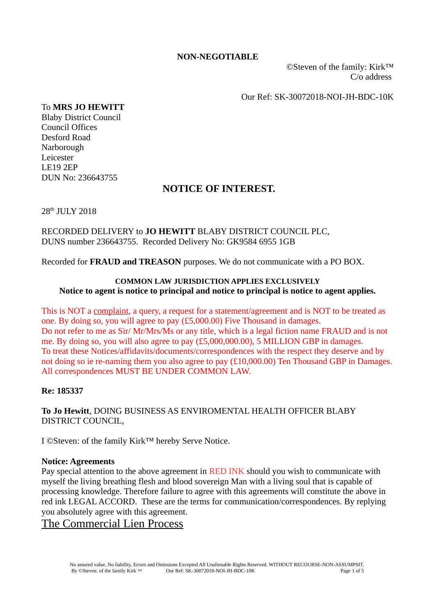#### **NON-NEGOTIABLE**

 ©Steven of the family: Kirk™ C/o address

Our Ref: SK-30072018-NOI-JH-BDC-10K

#### To **MRS JO HEWITT**

Blaby District Council Council Offices Desford Road Narborough Leicester LE19 2EP DUN No: 236643755

# **NOTICE OF INTEREST.**

28th JULY 2018

### RECORDED DELIVERY to **JO HEWITT** BLABY DISTRICT COUNCIL PLC, DUNS number 236643755. Recorded Delivery No: GK9584 6955 1GB

Recorded for **FRAUD and TREASON** purposes. We do not communicate with a PO BOX.

### **COMMON LAW JURISDICTION APPLIES EXCLUSIVELY Notice to agent is notice to principal and notice to principal is notice to agent applies.**

This is NOT a complaint, a query, a request for a statement/agreement and is NOT to be treated as one. By doing so, you will agree to pay (£5,000.00) Five Thousand in damages. Do not refer to me as Sir/ Mr/Mrs/Ms or any title, which is a legal fiction name FRAUD and is not me. By doing so, you will also agree to pay (£5,000,000.00), 5 MILLION GBP in damages. To treat these Notices/affidavits/documents/correspondences with the respect they deserve and by not doing so ie re-naming them you also agree to pay (£10,000.00) Ten Thousand GBP in Damages. All correspondences MUST BE UNDER COMMON LAW.

### **Re: 185337**

**To Jo Hewitt**, DOING BUSINESS AS ENVIROMENTAL HEALTH OFFICER BLABY DISTRICT COUNCIL,

I ©Steven: of the family Kirk™ hereby Serve Notice.

#### **Notice: Agreements**

Pay special attention to the above agreement in RED INK should you wish to communicate with myself the living breathing flesh and blood sovereign Man with a living soul that is capable of processing knowledge. Therefore failure to agree with this agreements will constitute the above in red ink LEGAL ACCORD. These are the terms for communication/correspondences. By replying you absolutely agree with this agreement.

## The Commercial Lien Process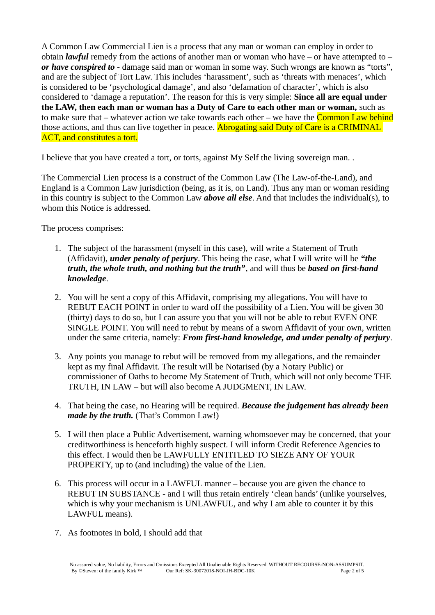A Common Law Commercial Lien is a process that any man or woman can employ in order to obtain *lawful* remedy from the actions of another man or woman who have – or have attempted to – *or have conspired to* - damage said man or woman in some way. Such wrongs are known as "torts", and are the subject of Tort Law. This includes 'harassment', such as 'threats with menaces', which is considered to be 'psychological damage', and also 'defamation of character', which is also considered to 'damage a reputation'. The reason for this is very simple: **Since all are equal under the LAW, then each man or woman has a Duty of Care to each other man or woman,** such as to make sure that – whatever action we take towards each other – we have the  $Common Law$  behind those actions, and thus can live together in peace. Abrogating said Duty of Care is a CRIMINAL ACT, and constitutes a tort.

I believe that you have created a tort, or torts, against My Self the living sovereign man. .

The Commercial Lien process is a construct of the Common Law (The Law-of-the-Land), and England is a Common Law jurisdiction (being, as it is, on Land). Thus any man or woman residing in this country is subject to the Common Law *above all else*. And that includes the individual(s), to whom this Notice is addressed.

The process comprises:

- 1. The subject of the harassment (myself in this case), will write a Statement of Truth (Affidavit), *under penalty of perjury*. This being the case, what I will write will be *"the truth, the whole truth, and nothing but the truth"*, and will thus be *based on first-hand knowledge*.
- 2. You will be sent a copy of this Affidavit, comprising my allegations. You will have to REBUT EACH POINT in order to ward off the possibility of a Lien. You will be given 30 (thirty) days to do so, but I can assure you that you will not be able to rebut EVEN ONE SINGLE POINT. You will need to rebut by means of a sworn Affidavit of your own, written under the same criteria, namely: *From first-hand knowledge, and under penalty of perjury*.
- 3. Any points you manage to rebut will be removed from my allegations, and the remainder kept as my final Affidavit. The result will be Notarised (by a Notary Public) or commissioner of Oaths to become My Statement of Truth, which will not only become THE TRUTH, IN LAW – but will also become A JUDGMENT, IN LAW.
- 4. That being the case, no Hearing will be required. *Because the judgement has already been made by the truth.* (That's Common Law!)
- 5. I will then place a Public Advertisement, warning whomsoever may be concerned, that your creditworthiness is henceforth highly suspect. I will inform Credit Reference Agencies to this effect. I would then be LAWFULLY ENTITLED TO SIEZE ANY OF YOUR PROPERTY, up to (and including) the value of the Lien.
- 6. This process will occur in a LAWFUL manner because you are given the chance to REBUT IN SUBSTANCE - and I will thus retain entirely 'clean hands' (unlike yourselves, which is why your mechanism is UNLAWFUL, and why I am able to counter it by this LAWFUL means).
- 7. As footnotes in bold, I should add that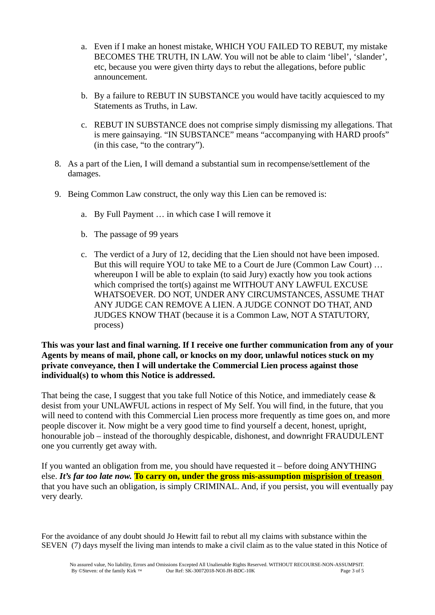- a. Even if I make an honest mistake, WHICH YOU FAILED TO REBUT, my mistake BECOMES THE TRUTH, IN LAW. You will not be able to claim 'libel', 'slander', etc, because you were given thirty days to rebut the allegations, before public announcement.
- b. By a failure to REBUT IN SUBSTANCE you would have tacitly acquiesced to my Statements as Truths, in Law.
- c. REBUT IN SUBSTANCE does not comprise simply dismissing my allegations. That is mere gainsaying. "IN SUBSTANCE" means "accompanying with HARD proofs" (in this case, "to the contrary").
- 8. As a part of the Lien, I will demand a substantial sum in recompense/settlement of the damages.
- 9. Being Common Law construct, the only way this Lien can be removed is:
	- a. By Full Payment … in which case I will remove it
	- b. The passage of 99 years
	- c. The verdict of a Jury of 12, deciding that the Lien should not have been imposed. But this will require YOU to take ME to a Court de Jure (Common Law Court) … whereupon I will be able to explain (to said Jury) exactly how you took actions which comprised the tort(s) against me WITHOUT ANY LAWFUL EXCUSE WHATSOEVER. DO NOT, UNDER ANY CIRCUMSTANCES, ASSUME THAT ANY JUDGE CAN REMOVE A LIEN. A JUDGE CONNOT DO THAT, AND JUDGES KNOW THAT (because it is a Common Law, NOT A STATUTORY, process)

**This was your last and final warning. If I receive one further communication from any of your Agents by means of mail, phone call, or knocks on my door, unlawful notices stuck on my private conveyance, then I will undertake the Commercial Lien process against those individual(s) to whom this Notice is addressed.**

That being the case, I suggest that you take full Notice of this Notice, and immediately cease & desist from your UNLAWFUL actions in respect of My Self. You will find, in the future, that you will need to contend with this Commercial Lien process more frequently as time goes on, and more people discover it. Now might be a very good time to find yourself a decent, honest, upright, honourable job – instead of the thoroughly despicable, dishonest, and downright FRAUDULENT one you currently get away with.

If you wanted an obligation from me, you should have requested it – before doing ANYTHING else. *It's far too late now.* **To carry on, under the gross mis-assumption misprision of treason** that you have such an obligation, is simply CRIMINAL. And, if you persist, you will eventually pay very dearly.

For the avoidance of any doubt should Jo Hewitt fail to rebut all my claims with substance within the SEVEN (7) days myself the living man intends to make a civil claim as to the value stated in this Notice of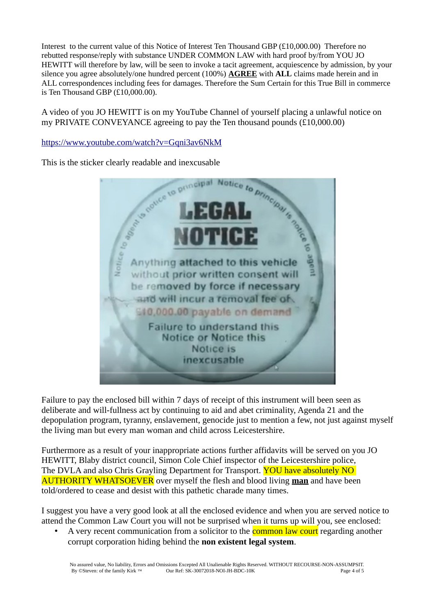Interest to the current value of this Notice of Interest Ten Thousand GBP (£10,000.00) Therefore no rebutted response/reply with substance UNDER COMMON LAW with hard proof by/from YOU JO HEWITT will therefore by law, will be seen to invoke a tacit agreement, acquiescence by admission, by your silence you agree absolutely/one hundred percent (100%) **AGREE** with **ALL** claims made herein and in ALL correspondences including fees for damages. Therefore the Sum Certain for this True Bill in commerce is Ten Thousand GBP (£10,000.00).

A video of you JO HEWITT is on my YouTube Channel of yourself placing a unlawful notice on my PRIVATE CONVEYANCE agreeing to pay the Ten thousand pounds (£10,000.00)



Failure to pay the enclosed bill within 7 days of receipt of this instrument will been seen as deliberate and will-fullness act by continuing to aid and abet criminality, Agenda 21 and the depopulation program, tyranny, enslavement, genocide just to mention a few, not just against myself the living man but every man woman and child across Leicestershire.

Furthermore as a result of your inappropriate actions further affidavits will be served on you JO HEWITT, Blaby district council, Simon Cole Chief inspector of the Leicestershire police, The DVLA and also Chris Grayling Department for Transport. YOU have absolutely NO AUTHORITY WHATSOEVER over myself the flesh and blood living **man** and have been told/ordered to cease and desist with this pathetic charade many times.

I suggest you have a very good look at all the enclosed evidence and when you are served notice to attend the Common Law Court you will not be surprised when it turns up will you, see enclosed:

A very recent communication from a solicitor to the **common law court** regarding another corrupt corporation hiding behind the **non existent legal system**.